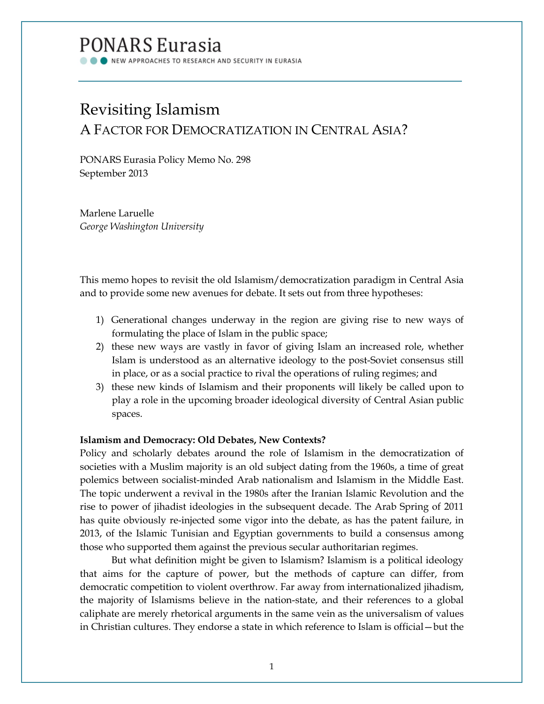# **PONARS Eurasia**

NEW APPROACHES TO RESEARCH AND SECURITY IN EURASIA

## Revisiting Islamism A FACTOR FOR DEMOCRATIZATION IN CENTRAL ASIA?

PONARS Eurasia Policy Memo No. 298 September 2013

Marlene Laruelle *George Washington University*

This memo hopes to revisit the old Islamism/democratization paradigm in Central Asia and to provide some new avenues for debate. It sets out from three hypotheses:

- 1) Generational changes underway in the region are giving rise to new ways of formulating the place of Islam in the public space;
- 2) these new ways are vastly in favor of giving Islam an increased role, whether Islam is understood as an alternative ideology to the post-Soviet consensus still in place, or as a social practice to rival the operations of ruling regimes; and
- 3) these new kinds of Islamism and their proponents will likely be called upon to play a role in the upcoming broader ideological diversity of Central Asian public spaces.

### **Islamism and Democracy: Old Debates, New Contexts?**

Policy and scholarly debates around the role of Islamism in the democratization of societies with a Muslim majority is an old subject dating from the 1960s, a time of great polemics between socialist-minded Arab nationalism and Islamism in the Middle East. The topic underwent a revival in the 1980s after the Iranian Islamic Revolution and the rise to power of jihadist ideologies in the subsequent decade. The Arab Spring of 2011 has quite obviously re-injected some vigor into the debate, as has the patent failure, in 2013, of the Islamic Tunisian and Egyptian governments to build a consensus among those who supported them against the previous secular authoritarian regimes.

But what definition might be given to Islamism? Islamism is a political ideology that aims for the capture of power, but the methods of capture can differ, from democratic competition to violent overthrow. Far away from internationalized jihadism, the majority of Islamisms believe in the nation-state, and their references to a global caliphate are merely rhetorical arguments in the same vein as the universalism of values in Christian cultures. They endorse a state in which reference to Islam is official—but the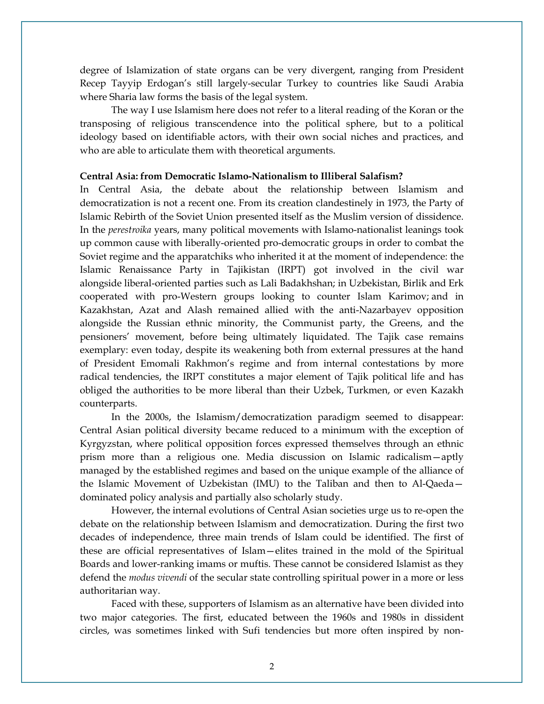degree of Islamization of state organs can be very divergent, ranging from President Recep Tayyip Erdogan's still largely-secular Turkey to countries like Saudi Arabia where Sharia law forms the basis of the legal system.

The way I use Islamism here does not refer to a literal reading of the Koran or the transposing of religious transcendence into the political sphere, but to a political ideology based on identifiable actors, with their own social niches and practices, and who are able to articulate them with theoretical arguments.

#### **Central Asia: from Democratic Islamo-Nationalism to Illiberal Salafism?**

In Central Asia, the debate about the relationship between Islamism and democratization is not a recent one. From its creation clandestinely in 1973, the Party of Islamic Rebirth of the Soviet Union presented itself as the Muslim version of dissidence. In the *perestroika* years, many political movements with Islamo-nationalist leanings took up common cause with liberally-oriented pro-democratic groups in order to combat the Soviet regime and the apparatchiks who inherited it at the moment of independence: the Islamic Renaissance Party in Tajikistan (IRPT) got involved in the civil war alongside liberal-oriented parties such as Lali Badakhshan; in Uzbekistan, Birlik and Erk cooperated with pro-Western groups looking to counter Islam Karimov; and in Kazakhstan, Azat and Alash remained allied with the anti-Nazarbayev opposition alongside the Russian ethnic minority, the Communist party, the Greens, and the pensioners' movement, before being ultimately liquidated. The Tajik case remains exemplary: even today, despite its weakening both from external pressures at the hand of President Emomali Rakhmon's regime and from internal contestations by more radical tendencies, the IRPT constitutes a major element of Tajik political life and has obliged the authorities to be more liberal than their Uzbek, Turkmen, or even Kazakh counterparts.

In the 2000s, the Islamism/democratization paradigm seemed to disappear: Central Asian political diversity became reduced to a minimum with the exception of Kyrgyzstan, where political opposition forces expressed themselves through an ethnic prism more than a religious one. Media discussion on Islamic radicalism—aptly managed by the established regimes and based on the unique example of the alliance of the Islamic Movement of Uzbekistan (IMU) to the Taliban and then to Al-Qaeda dominated policy analysis and partially also scholarly study.

However, the internal evolutions of Central Asian societies urge us to re-open the debate on the relationship between Islamism and democratization. During the first two decades of independence, three main trends of Islam could be identified. The first of these are official representatives of Islam—elites trained in the mold of the Spiritual Boards and lower-ranking imams or muftis. These cannot be considered Islamist as they defend the *modus vivendi* of the secular state controlling spiritual power in a more or less authoritarian way.

Faced with these, supporters of Islamism as an alternative have been divided into two major categories. The first, educated between the 1960s and 1980s in dissident circles, was sometimes linked with Sufi tendencies but more often inspired by non-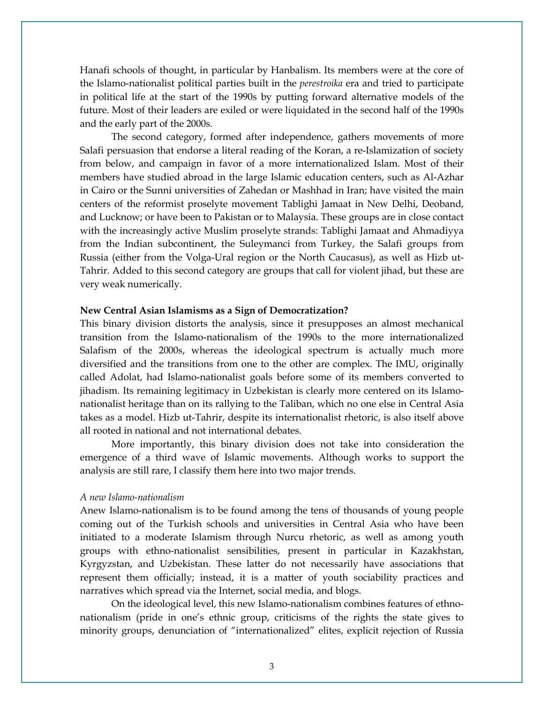Hanafi schools of thought, in particular by Hanbalism. Its members were at the core of the Islamo-nationalist political parties built in the *perestroika* era and tried to participate in political life at the start of the 1990s by putting forward alternative models of the future. Most of their leaders are exiled or were liquidated in the second half of the 1990s and the early part of the 2000s.

The second category, formed after independence, gathers movements of more Salafi persuasion that endorse a literal reading of the Koran, a re-Islamization of society from below, and campaign in favor of a more internationalized Islam. Most of their members have studied abroad in the large Islamic education centers, such as Al-Azhar in Cairo or the Sunni universities of Zahedan or Mashhad in Iran; have visited the main centers of the reformist proselyte movement Tablighi Jamaat in New Delhi, Deoband, and Lucknow; or have been to Pakistan or to Malaysia. These groups are in close contact with the increasingly active Muslim proselyte strands: Tablighi Jamaat and Ahmadiyya from the Indian subcontinent, the Suleymanci from Turkey, the Salafi groups from Russia (either from the Volga-Ural region or the North Caucasus), as well as Hizb ut-Tahrir. Added to this second category are groups that call for violent jihad, but these are very weak numerically.

#### **New Central Asian Islamisms as a Sign of Democratization?**

This binary division distorts the analysis, since it presupposes an almost mechanical transition from the Islamo-nationalism of the 1990s to the more internationalized Salafism of the 2000s, whereas the ideological spectrum is actually much more diversified and the transitions from one to the other are complex. The IMU, originally called Adolat, had Islamo-nationalist goals before some of its members converted to jihadism. Its remaining legitimacy in Uzbekistan is clearly more centered on its Islamonationalist heritage than on its rallying to the Taliban, which no one else in Central Asia takes as a model. Hizb ut-Tahrir, despite its internationalist rhetoric, is also itself above all rooted in national and not international debates.

More importantly, this binary division does not take into consideration the emergence of a third wave of Islamic movements. Although works to support the analysis are still rare, I classify them here into two major trends.

#### *A new Islamo-nationalism*

Anew Islamo-nationalism is to be found among the tens of thousands of young people coming out of the Turkish schools and universities in Central Asia who have been initiated to a moderate Islamism through Nurcu rhetoric, as well as among youth groups with ethno-nationalist sensibilities, present in particular in Kazakhstan, Kyrgyzstan, and Uzbekistan. These latter do not necessarily have associations that represent them officially; instead, it is a matter of youth sociability practices and narratives which spread via the Internet, social media, and blogs.

On the ideological level, this new Islamo-nationalism combines features of ethnonationalism (pride in one's ethnic group, criticisms of the rights the state gives to minority groups, denunciation of "internationalized" elites, explicit rejection of Russia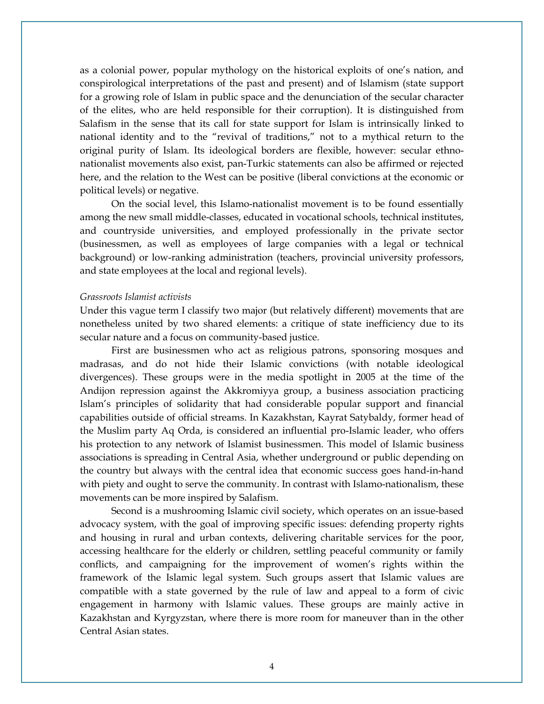as a colonial power, popular mythology on the historical exploits of one's nation, and conspirological interpretations of the past and present) and of Islamism (state support for a growing role of Islam in public space and the denunciation of the secular character of the elites, who are held responsible for their corruption). It is distinguished from Salafism in the sense that its call for state support for Islam is intrinsically linked to national identity and to the "revival of traditions," not to a mythical return to the original purity of Islam. Its ideological borders are flexible, however: secular ethnonationalist movements also exist, pan-Turkic statements can also be affirmed or rejected here, and the relation to the West can be positive (liberal convictions at the economic or political levels) or negative.

On the social level, this Islamo-nationalist movement is to be found essentially among the new small middle-classes, educated in vocational schools, technical institutes, and countryside universities, and employed professionally in the private sector (businessmen, as well as employees of large companies with a legal or technical background) or low-ranking administration (teachers, provincial university professors, and state employees at the local and regional levels).

#### *Grassroots Islamist activists*

Under this vague term I classify two major (but relatively different) movements that are nonetheless united by two shared elements: a critique of state inefficiency due to its secular nature and a focus on community-based justice.

First are businessmen who act as religious patrons, sponsoring mosques and madrasas, and do not hide their Islamic convictions (with notable ideological divergences). These groups were in the media spotlight in 2005 at the time of the Andijon repression against the Akkromiyya group, a business association practicing Islam's principles of solidarity that had considerable popular support and financial capabilities outside of official streams. In Kazakhstan, Kayrat Satybaldy, former head of the Muslim party Aq Orda, is considered an influential pro-Islamic leader, who offers his protection to any network of Islamist businessmen. This model of Islamic business associations is spreading in Central Asia, whether underground or public depending on the country but always with the central idea that economic success goes hand-in-hand with piety and ought to serve the community. In contrast with Islamo-nationalism, these movements can be more inspired by Salafism.

Second is a mushrooming Islamic civil society, which operates on an issue-based advocacy system, with the goal of improving specific issues: defending property rights and housing in rural and urban contexts, delivering charitable services for the poor, accessing healthcare for the elderly or children, settling peaceful community or family conflicts, and campaigning for the improvement of women's rights within the framework of the Islamic legal system. Such groups assert that Islamic values are compatible with a state governed by the rule of law and appeal to a form of civic engagement in harmony with Islamic values. These groups are mainly active in Kazakhstan and Kyrgyzstan, where there is more room for maneuver than in the other Central Asian states.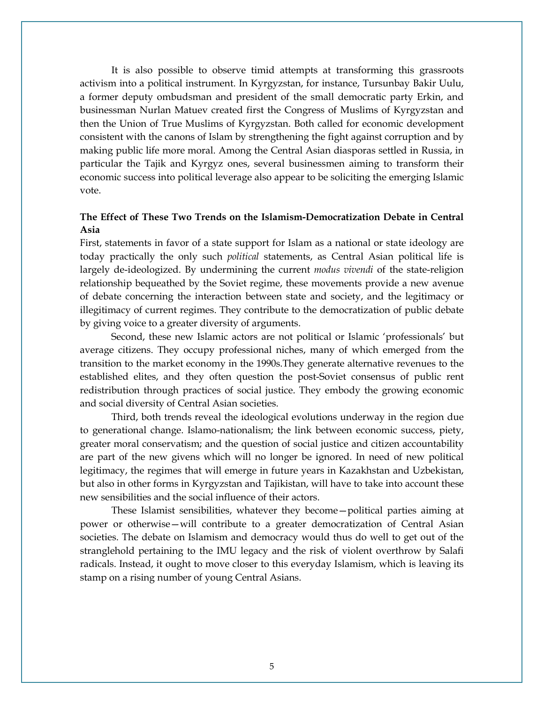It is also possible to observe timid attempts at transforming this grassroots activism into a political instrument. In Kyrgyzstan, for instance, Tursunbay Bakir Uulu, a former deputy ombudsman and president of the small democratic party Erkin, and businessman Nurlan Matuev created first the Congress of Muslims of Kyrgyzstan and then the Union of True Muslims of Kyrgyzstan. Both called for economic development consistent with the canons of Islam by strengthening the fight against corruption and by making public life more moral. Among the Central Asian diasporas settled in Russia, in particular the Tajik and Kyrgyz ones, several businessmen aiming to transform their economic success into political leverage also appear to be soliciting the emerging Islamic vote.

## **The Effect of These Two Trends on the Islamism-Democratization Debate in Central Asia**

First, statements in favor of a state support for Islam as a national or state ideology are today practically the only such *political* statements, as Central Asian political life is largely de-ideologized. By undermining the current *modus vivendi* of the state-religion relationship bequeathed by the Soviet regime, these movements provide a new avenue of debate concerning the interaction between state and society, and the legitimacy or illegitimacy of current regimes. They contribute to the democratization of public debate by giving voice to a greater diversity of arguments.

Second, these new Islamic actors are not political or Islamic 'professionals' but average citizens. They occupy professional niches, many of which emerged from the transition to the market economy in the 1990s.They generate alternative revenues to the established elites, and they often question the post-Soviet consensus of public rent redistribution through practices of social justice. They embody the growing economic and social diversity of Central Asian societies.

Third, both trends reveal the ideological evolutions underway in the region due to generational change. Islamo-nationalism; the link between economic success, piety, greater moral conservatism; and the question of social justice and citizen accountability are part of the new givens which will no longer be ignored. In need of new political legitimacy, the regimes that will emerge in future years in Kazakhstan and Uzbekistan, but also in other forms in Kyrgyzstan and Tajikistan, will have to take into account these new sensibilities and the social influence of their actors.

These Islamist sensibilities, whatever they become—political parties aiming at power or otherwise—will contribute to a greater democratization of Central Asian societies. The debate on Islamism and democracy would thus do well to get out of the stranglehold pertaining to the IMU legacy and the risk of violent overthrow by Salafi radicals. Instead, it ought to move closer to this everyday Islamism, which is leaving its stamp on a rising number of young Central Asians.